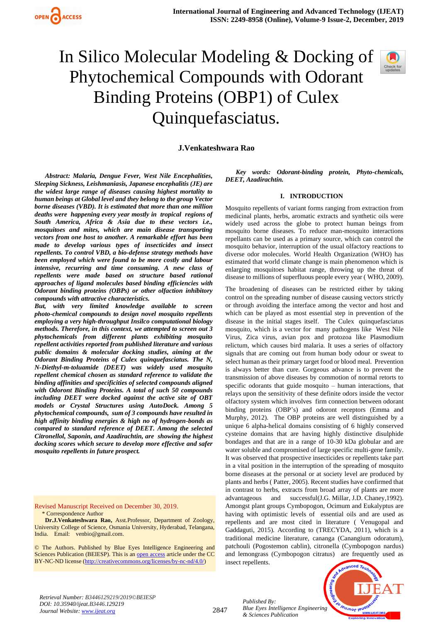

# In Silico Molecular Modeling & Docking of Phytochemical Compounds with Odorant Binding Proteins (OBP1) of Culex Quinquefasciatus.



**J.Venkateshwara Rao**

*Abstract: Malaria, Dengue Fever, West Nile Encephalities, Sleeping Sickness, Leishmaniasis, Japanese encephalitis (JE) are the widest large range of diseases causing highest mortality to human beings at Global level and they belong to the group Vector borne diseases (VBD). It is estimated that more than one million deaths were happening every year mostly in tropical regions of South America, Africa & Asia due to these vectors i.e., mosquitoes and mites, which are main disease transporting vectors from one host to another. A remarkable effort has been made to develop various types of insecticides and insect repellents. To control VBD, a bio-defense strategy methods have been employed which were found to be more costly and labour intensive, recurring and time consuming. A new class of repellents were made based on structure based rational approaches of ligand molecules based binding efficiencies with Odorant binding proteins (OBPs) or other olfaction inhibitory compounds with attractive characteristics.*

*But, with very limited knowledge available to screen photo-chemical compounds to design novel mosquito repellents employing a very high-throughput Insilco computational biology methods. Therefore, in this context, we attempted to screen out 3 phytochemicals from different plants exhibiting mosquito repellent activities reported from published literature and various public domains & molecular docking studies, aiming at the Odorant Binding Proteins of Culex quinquefasciatus. The N, N-Diethyl-m-toluamide (DEET) was widely used mosquito repellent chemical chosen as standard reference to validate the binding affinities and specificities of selected compounds aligned with Odoront Binding Proteins. A total of such 50 compounds including DEET were docked against the active site of OBT models or Crystal Structures using AutoDock. Among 5 phytochemical compounds, sum of 3 compounds have resulted in high affinity binding energies & high no of hydrogen-bonds as compared to standard reference of DEET. Among the selected Citronellol, Saponin, and Azadirachtin, are showing the highest docking scores which secure to develop more effective and safer mosquito repellents in future prospect.*

Revised Manuscript Received on December 30, 2019. \* Correspondence Author

**Dr.J.Venkateshwara Rao,** Asst.Professor, Department of Zoology, University College of Science, Osmania University, Hyderabad, Telangana, India. Email: venbio@gmail.com.

© The Authors. Published by Blue Eyes Intelligence Engineering and Sciences Publication (BEIESP). This is a[n open access](https://www.openaccess.nl/en/open-publications) article under the CC BY-NC-ND license [\(http://creativecommons.org/licenses/by-nc-nd/4.0/\)](http://creativecommons.org/licenses/by-nc-nd/4.0/)

*Key words: Odorant-binding protein, Phyto-chemicals, DEET, Azadirachtin.*

#### **I. INTRODUCTION**

Mosquito repellents of variant forms ranging from extraction from medicinal plants, herbs, aromatic extracts and synthetic oils were widely used across the globe to protect human beings from mosquito borne diseases. To reduce man-mosquito interactions repellants can be used as a primary source, which can control the mosquito behavior, interruption of the usual olfactory reactions to diverse odor molecules. World Health Organization (WHO) has estimated that world climate change is main phenomenon which is enlarging mosquitoes habitat range, throwing up the threat of disease to millions of superfluous people every year ( WHO, 2009).

The broadening of diseases can be restricted either by taking control on the spreading number of disease causing vectors strictly or through avoiding the interface among the vector and host and which can be played as most essential step in prevention of the disease in the initial stages itself. The Culex quinquefasciatus mosquito, which is a vector for many pathogens like West Nile Virus, Zica virus, avian pox and protozoa like Plasmodium relictum, which causes bird malaria. It uses a series of olfactory signals that are coming out from human body odour or sweat to select human as their primary target food or blood meal. Prevention is always better than cure. Gorgeous advance is to prevent the transmission of above diseases by commotion of normal retorts to specific odorants that guide mosquito – human interactions, that relays upon the sensitivity of these definite odors inside the vector olfactory system which involves firm connection between odorant binding proteins (OBP's) and odoront receptors (Emma and Murphy, 2012). The OBP proteins are well distinguished by a unique 6 alpha-helical domains consisting of 6 highly conserved cysteine domains that are having highly distinctive disulphide bondages and that are in a range of 10-30 kDa globular and are water soluble and compromised of large specific multi-gene family. It was observed that prospective insecticides or repellents take part in a vital position in the interruption of the spreading of mosquito borne diseases at the personal or at society level are produced by plants and herbs ( Patter, 2005). Recent studies have confirmed that in contrast to herbs, extracts from broad array of plants are more advantageous and successful(J.G. Millar, J.D. Chaney,1992). Amongst plant groups Cymbopogon, Ocimum and Eukalyptus are having with optimistic levels of essential oils and are used as repellents and are most cited in literature ( Venugopal and Gaddaguti, 2015). According to (TRECYDA, 2011), which is a traditional medicine literature, cananga (Canangium odoratum), patchouli (Pogostemon cablin), citronella (Cymbopogon nardus) and lemongrass (Cymbopogon citratus) are frequently used as insect repellents.



*Retrieval Number: B3446129219/2019©BEIESP DOI: 10.35940/ijeat.B3446.129219 Journal Website[: www.ijeat.org](http://www.ijeat.org/)*

2847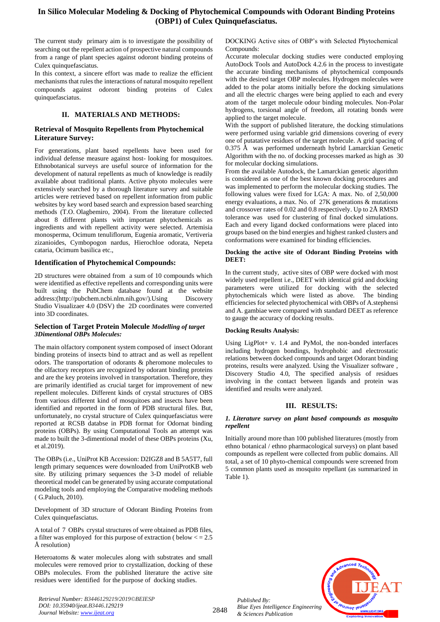## **In Silico Molecular Modeling & Docking of Phytochemical Compounds with Odorant Binding Proteins (OBP1) of Culex Quinquefasciatus.**

The current study primary aim is to investigate the possibility of searching out the repellent action of prospective natural compounds from a range of plant species against odoront binding proteins of Culex quinquefasciatus.

In this context, a sincere effort was made to realize the efficient mechanisms that rules the interactions of natural mosquito repellent compounds against odoront binding proteins of Culex quinquefasciatus.

## **II. MATERIALS AND METHODS:**

### **Retrieval of Mosquito Repellents from Phytochemical Literature Survey:**

For generations, plant based repellents have been used for individual defense measure against host- looking for mosquitoes. Ethnobotanical surveys are useful source of information for the development of natural repellents as much of knowledge is readily available about traditional plants. Active phyoto molecules were extensively searched by a thorough literature survey and suitable articles were retrieved based on repellent information from public websites by key word based search and expression based searching methods (T.O. Olagbemiro, 2004). From the literature collected about 8 different plants with important phytochemicals as ingredients and with repellent activity were selected. Artemisia monosperma, Ocimum tenuliflorum, Eugenia aromatic, Vertiveria zizanioides, Cymbopogon nardus, Hierochloe odorata, Nepeta cataria, Ocimum basilica etc.,

#### **Identification of Phytochemical Compounds:**

2D structures were obtained from a sum of 10 compounds which were identified as effective repellents and corresponding units were built using the PubChem database found at the website address:[\(http://pubchem.ncbi.nlm.nih.gov/\)](http://pubchem.ncbi.nlm.nih.gov/).Using Discovery Studio Visualizaer 4.0 (DSV) the 2D coordinates were converted into 3D coordinates.

#### **Selection of Target Protein Molecule** *Modelling of target 3Dimentional OBPs Molecules:*

The main olfactory component system composed of insect Odorant binding proteins of insects bind to attract and as well as repellent odors. The transportation of odorants & pheromone molecules to the olfactory receptors are recognized by odorant binding proteins and are the key proteins involved in transportation. Therefore, they are primarily identified as crucial target for improvement of new repellent molecules. Different kinds of crystal structures of OBS from various different kind of mosquitoes and insects have been identified and reported in the form of PDB structural files. But, unfortunately, no crystal structure of Culex quinquefasciatus were reported at RCSB databse in PDB format for Odornat binding proteins (OBPs). By using Computational Tools an attempt was made to built the 3-dimentional model of these OBPs proteins (Xu, et al.2019).

The OBPs (i.e., UniProt KB Accession: D2IGZ8 and B 5A5T7, full length primary sequences were downloaded from UniProtKB web site. By utilizing primary sequences the 3-D model of reliable theoretical model can be generated by using accurate computational modeling tools and employing the Comparative modeling methods ( G.Paluch, 2010).

Development of 3D structure of Odorant Binding Proteins from Culex quinquefasciatus.

A total of 7 OBPs crystal structures of were obtained as PDB files, a filter was employed for this purpose of extraction (  $below < = 2.5$ Å resolution)

Heteroatoms & water molecules along with substrates and small molecules were removed prior to crystallization, docking of these OBPs molecules. From the published literature the active site residues were identified for the purpose of docking studies.

*Retrieval Number: B3446129219/2019©BEIESP DOI: 10.35940/ijeat.B3446.129219 Journal Website[: www.ijeat.org](http://www.ijeat.org/)*

DOCKING Active sites of OBP's with Selected Phytochemical Compounds:

Accurate molecular docking studies were conducted employing AutoDock Tools and AutoDock 4.2.6 in the process to investigate the accurate binding mechanisms of phytochemical compounds with the desired target OBP molecules. Hydrogen molecules were added to the polar atoms initially before the docking simulations and all the electric charges were being applied to each and every atom of the target molecule odour binding molecules. Non-Polar hydrogens, torsional angle of freedom, all rotating bonds were applied to the target molecule.

With the support of published literature, the docking stimulations were performed using variable grid dimensions covering of every one of putatative residues of the target molecule. A grid spacing of 0.375 Å was performed underneath hybrid Lamarckian Genetic Algorithm with the no. of docking processes marked as high as 30 for molecular docking simulations.

From the available Autodock, the Lamarckian genetic algorithm is considered as one of the best known docking procedures and was implemented to perform the molecular docking studies. The following values were fixed for LGA: A max. No. of 2,50,000 energy evaluations, a max. No. of 27K generations & mutations and crossover rates of 0.02 and 0.8 respectively. Up to 2Å RMSD tolerance was used for clustering of final docked simulations. Each and every ligand docked conformations were placed into groups based on the bind energies and highest ranked clusters and conformations were examined for binding efficiencies.

#### **Docking the active site of Odorant Binding Proteins with DEET:**

In the current study, active sites of OBP were docked with most widely used repellent i.e., DEET with identical grid and docking parameters were utilized for docking with the selected phytochemicals which were listed as above. The binding efficiencies for selected phytochemical with OBPs of A.stephensi and A. gambiae were compared with standard DEET as reference to gauge the accuracy of docking results.

#### **Docking Results Analysis:**

Using LigPlot+ v. 1.4 and PyMol, the non-bonded interfaces including hydrogen bondings, hydrophobic and electrostatic relations between docked compounds and target Odorant binding proteins, results were analyzed. Using the Visualizer software , Discovery Studio 4.0, The specified analysis of residues involving in the contact between ligands and protein was identified and results were analyzed.

## **III. RESULTS:**

#### *1. Literature survey on plant based compounds as mosquito repellent*

Initially around more than 100 published literatures (mostly from ethno botanical / ethno pharmacological surveys) on plant based compounds as repellent were collected from public domains. All total, a set of 10 phyto-chemical compounds were screened from 5 common plants used as mosquito repellant (as summarized in Table 1).

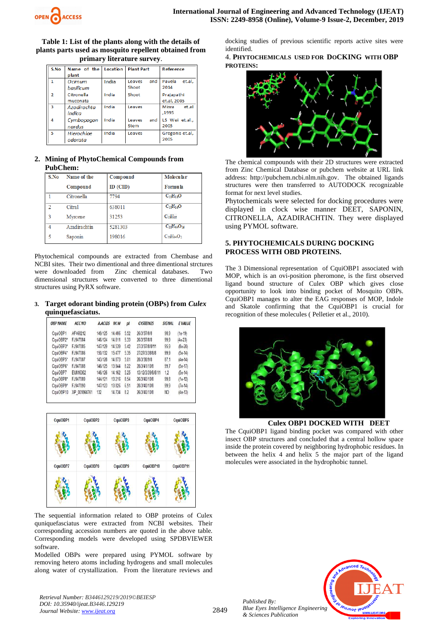

**Table 1: List of the plants along with the details of plants parts used as mosquito repellent obtained from primary literature survey**.

| S.No                    | Name of the | Location | <b>Plant Part</b> | <b>Reference</b> |  |
|-------------------------|-------------|----------|-------------------|------------------|--|
|                         | plant       |          |                   |                  |  |
| 1                       | Ocimum      | India    | and<br>Leaves     | Pavela<br>et.al. |  |
|                         | basilicum   |          | Shoot             | 2014             |  |
| 2                       | Citronella  | India    | Shoot             | Prajapathi       |  |
|                         | muconata    |          |                   | et.al, 2005      |  |
| $\overline{\mathbf{3}}$ | Azadirachta | India    | Leaves            | Misra<br>et.al   |  |
|                         | indica      |          |                   | .1995            |  |
| 4                       | Cymbopogon  | India    | Leaves<br>and     | LS Wei et.al.,   |  |
|                         | nardus      |          | <b>Stem</b>       | 2005             |  |
| 5                       | Hierochloe  | India    | Leaves            | Gregonis et.al,  |  |
|                         | odorata     |          |                   | 2005             |  |

## **2. Mining of PhytoChemical Compounds from PubChem:**

| S.No | Name of the  | Compound       | <b>Molecular</b>                                      |
|------|--------------|----------------|-------------------------------------------------------|
|      | Compound     | $ID$ ( $CID$ ) | <b>Formula</b>                                        |
|      | Citronella   | 7794           | $C_{10}H_{18}O$                                       |
| o    | Citral       | 638011         | $C_{10}H_{16}O$                                       |
| 3    | Myrcene      | 31253          | C <sub>10</sub> H <sub>16</sub>                       |
| 4    | Azadirachtin | 5281303        | $C_3$ <sub>5</sub> $H_4$ <sub>4</sub> O <sub>16</sub> |
| 5    | Saponin      | 198016         | $C_5$ g $H$ 94 $O_2$                                  |

Phytochemical compounds are extracted from Chembase and NCBI sites. Their two dimentional and three dimentional strctures were downloaded from Zinc chemical databases. Two dimensional structures were converted to three dimentional structures using PyRX software.

**3. Target odorant binding protein (OBPs) from** *Culex*  **quinquefasciatus.** 

| <b>OBP NAME</b> | <b>ACC NO</b> | <b>A.ACIDS</b> | M.W    | pl   | <b>CYSTEINES</b>  | <b>SIGNAL</b> | <b>EVALUE</b> |
|-----------------|---------------|----------------|--------|------|-------------------|---------------|---------------|
| CquiOBP1        | AF468212      | 149/125        | 14.486 | 5.52 | 26/3/37/8/8       | 98.9          | $(1e-19)$     |
| CquiOBP2*       | FJ947084      | 146/124        | 14.811 | 5.33 | 26/3/37/8/8       | 99.9          | $(4e-23)$     |
| CquiOBP3*       | FJ947085      | 147/129        | 14.539 | 5.42 | 27/3/37/8/8/11    | 95.9          | $(8e-20)$     |
| CquiOBP4*       | FJ947086      | 150/132        | 15.477 | 5.35 | 27/27/3/38/8/8    | 99.9          | $(5e-14)$     |
| CquiOBP5*       | FJ947087      | 143/128        | 14.873 | 5.01 | 28/3/38/9/8       | 87.1          | $(4e-14)$     |
| CquiOBP6*       | FJ947088      | 146/125        | 13.844 | 8.22 | 28/3/41/10/8      | 99.7          | $(5e-17)$     |
| CquiOBP7        | EU816362      | 146/126        | 14.162 | 5.25 | 13/12/3/39/8/8/11 | 1,2           | $(5e-14)$     |
| CquiOBP8*       | FJ947089      | 144/121        | 13.216 | 8.54 | 26/3/40/10/8      | 99.8          | $(1e-12)$     |
| CquiOBP9*       | FJ947090      | 147/123        | 13.826 | 6.51 | 28/3/40/10/8      | 99.9          | $(7e-14)$     |
| CquiOBP10       | XP 001864761  | 132            | 14.734 | 8.2  | 26/3/40/10/8      | NO            | $(4e-13)$     |

| CquiOBP1 | CquiOBP2 | CquiOBP3 | CquiOBP4  | CquiOBP5  |
|----------|----------|----------|-----------|-----------|
|          |          |          |           |           |
| CquiOBP7 | CquiOBP8 | CquiOBP9 | CquiOBP10 | CquiOBP11 |
|          |          |          |           |           |

The sequential information related to OBP proteins of Culex quniquefasciatus were extracted from NCBI websites. Their corresponding accession numbers are quoted in the above table. Corresponding models were developed using SPDBVIEWER software.

Modelled OBPs were prepared using PYMOL software by removing hetero atoms including hydrogens and small molecules along water of crystallization. From the literature reviews and

*Retrieval Number: B3446129219/2019©BEIESP DOI: 10.35940/ijeat.B3446.129219 Journal Website[: www.ijeat.org](http://www.ijeat.org/)*

docking studies of previous scientific reports active sites were identified.

4. **PHYTOCHEMICALS USED FOR DOCKING WITH OBP PROTEINS:**



The chemical compounds with their 2D structures were extracted from Zinc Chemical Database or pubchem website at URL link address: [http://pubchem.ncbi.nlm.nih.gov.](http://pubchem.ncbi.nlm.nih.gov/) The obtained ligands structures were then transferred to AUTODOCK recognizable format for next level studies.

Phytochemicals were selected for docking procedures were displayed in clock wise manner DEET, SAPONIN, CITRONELLA, AZADIRACHTIN. They were displayed using PYMOL software.

## **5. PHYTOCHEMICALS DURING DOCKING PROCESS WITH OBD PROTEINS.**

The 3 Dimensional representation of CquiOBP1 associated with MOP, which is an ovi-position pheromone, is the first observed ligand bound structure of Culex OBP which gives close opportunity to look into binding pocket of Mosquito OBPs. CquiOBP1 manages to alter the EAG responses of MOP, Indole and Skatole confirming that the CquiOBP1 is crucial for recognition of these molecules ( Pelletier et al., 2010).



**Culex OBP1 DOCKED WITH DEET**

The CquiOBP1 ligand binding pocket was compared with other insect OBP structures and concluded that a central hollow space inside the protein covered by neighboring hydrophobic residues. In between the helix 4 and helix 5 the major part of the ligand molecules were associated in the hydrophobic tunnel.

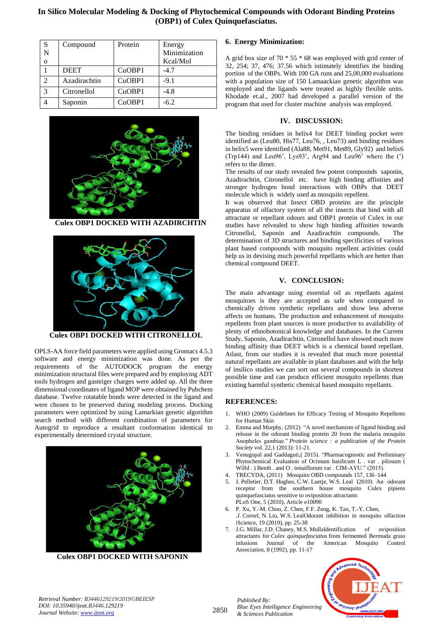**In Silico Molecular Modeling & Docking of Phytochemical Compounds with Odorant Binding Proteins (OBP1) of Culex Quinquefasciatus.**

| S            | Compound     | Protein | Energy       |
|--------------|--------------|---------|--------------|
| N            |              |         | Minimization |
| $\mathbf{o}$ |              |         | Kcal/Mol     |
|              | <b>DEET</b>  | CuOBP1  | $-4.7$       |
| C            | Azadirachtin | CuOBP1  | $-9.1$       |
| 3            | Citronellol  | CuOBP1  | $-4.8$       |
|              | Saponin      | CuOBP1  | $-6.2$       |



 **Culex OBP1 DOCKED WITH AZADIRCHTIN**



**Culex OBP1 DOCKED WITH CITRONELLOL**

OPLS-AA force field parameters were applied using Gromacs 4.5.3 software and energy minimization was done. As per the requirements of the AUTODOCK program the energy minimization structural files were prepared and by employing ADT tools hydrogen and gasteiger charges were added up. All the three dimensional coordinates of ligand MOP were obtained by Pubchem database. Twelve rotatable bonds were detected in the ligand and were chosen to be preserved during modeling process. Docking parameters were optimized by using Lamarkian genetic algorithm search method with different combination of parameters for Autogrid to reproduce a resultant conformation identical to experimentally determined crystal structure.



**Culex OBP1 DOCKED WITH SAPONIN**

## **6. Energy Minimization:**

A grid box size of 70  $*$  55  $*$  68 was employed with grid center of 32, 254; 37, 476; 37.56 which intimately identifies the binding portion of the OBPs. With 100 GA runs and 25,00,000 evaluations with a population size of 150 Lamaackian genetic algorithm was employed and the ligands were treated as highly flexible units. Khodade et.al., 2007 had developed a parallel version of the program that used for cluster machine analysis was employed.

## **IV. DISCUSSION:**

The binding residues in helix4 for DEET binding pocket were identified as (Leu80, His77, Leu76, , Leu73) and binding residues in helix5 were identified (Ala88, Met91, Met89, Gly92) and helix6 (Trp144) and Leu96', Lys93', Arg94 and Leu96' where the (') refers to the dimer.

The results of our study revealed few potent compounds saponin, Azadirachtin, Citronellol etc. have high binding affinities and stronger hydrogen bond interactions with OBPs that DEET molecule which is widely used as mosquito repellent.

It was observed that Insect OBD proteins are the principle apparatus of olfactory system of all the insects that bind with all attractant or repellant odours and OBP1 protein of Culex in our studies have relvealed to show high binding affinities towards Citronellol, Saponin and Azadirachtin compounds. The determination of 3D structures and binding specificities of various plant based compounds with mosquito repellent activities could help us in devising much powerful repellants which are better than chemical compound DEET.

#### **V. CONCLUSION:**

The main advantage using essential oil as repellants against mosquitoes is they are accepted as safe when compared to chemically driven synthetic repellants and show less adverse affects on humans. The production and enhancement of mosquito repellents from plant sources is more productive to availability of plenty of ethnobotonical knowledge and databases. In the Current Study, Saponin, Azadirachtin, Citronellol have showed much more binding affinity than DEET which is a chemical based repellant. Atlast, from our studies it is revealed that much more potential natural repellants are available in plant databases and with the help of insilico studies we can sort out several compounds in shortest possible time and can produce efficient mosquito repellents than existing harmful synthetic chemical based mosquito repellants.

#### **REFERENCES:**

- 1. WHO (2009) Guidelines for Efficacy Testing of Mosquito Repellents for Human Skin
- 2. Emma and Murphy, (2012) "A novel mechanism of ligand binding and release in the odorant binding protein 20 from the malaria mosquito Anopheles gambiae." *Protein science : a publication of the Protein Society* vol. 22,1 (2013): 11-21.
- 3. Venugopal and Gaddaguti,( 2015). "Pharmacognostic and Preliminary Phytochemical Evaluation of Ocimum basilicum L . var . pilosum ( Willd . ) Benth . and O . tenuiflorum var . CIM-AYU." (2015).
- 4. TRECYDA, (2011) Mosquito OBD compounds 157, 136–144
- 5. J. Pelletier, D.T. Hughes, C.W. Luetje, W.S. Leal (2010) An odorant receptor from the southern house mosquito Culex pipiens quinquefasciatus sensitive to oviposition attractants PLoS One, 5 (2010), Article e10090
- 6. P. Xu, Y.-M. Choo, Z. Chen, F.F. Zeng, K. Tan, T.-Y. Chen, .J. Cornel, N. Liu, W.S. LealOdorant inhibition in mosquito olfaction iScience, 19 (2019), pp. 25-38
- 7. J.G. Millar, J.D. Chaney, M.S. MullaIdentification of oviposition attractants for *Culex quinquefasciatus* from fermented Bermuda grass infusions Journal of the American Mosquito Control Association, 8 (1992), pp. 11-17